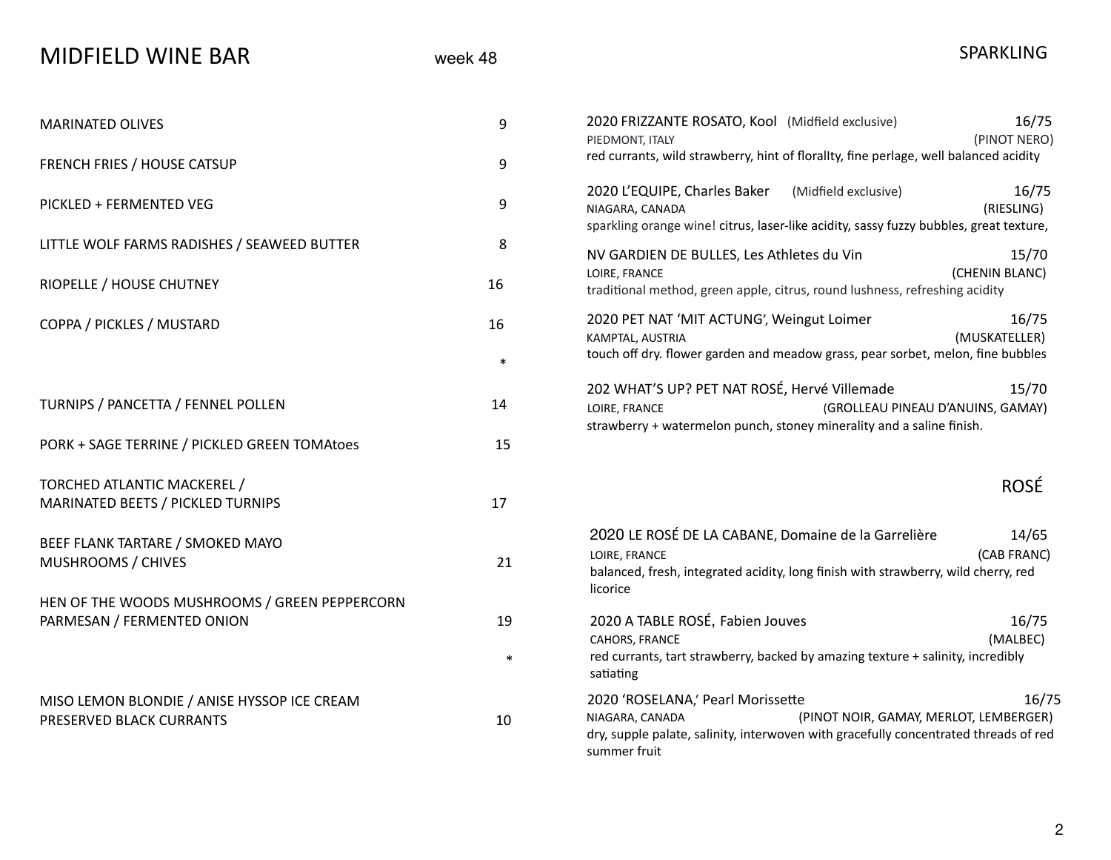| <b>MIDFIELD WINE BAR</b> |  |
|--------------------------|--|
|--------------------------|--|

| <b>MARINATED OLIVES</b>                                                                                 | 9      | 16/75<br>2020 FRIZZANTE ROSATO, Kool (Midfield exclusive)<br>(PINOT NERO)<br>PIEDMONT, ITALY                                                                                                                    |
|---------------------------------------------------------------------------------------------------------|--------|-----------------------------------------------------------------------------------------------------------------------------------------------------------------------------------------------------------------|
| FRENCH FRIES / HOUSE CATSUP                                                                             | $9\,$  | red currants, wild strawberry, hint of florallty, fine perlage, well balanced acidity                                                                                                                           |
| PICKLED + FERMENTED VEG                                                                                 | 9      | 2020 L'EQUIPE, Charles Baker<br>16/75<br>(Midfield exclusive)<br>(RIESLING)<br>NIAGARA, CANADA<br>sparkling orange wine! citrus, laser-like acidity, sassy fuzzy bubbles, great texture,                        |
| LITTLE WOLF FARMS RADISHES / SEAWEED BUTTER                                                             | 8      | 15/70<br>NV GARDIEN DE BULLES, Les Athletes du Vin                                                                                                                                                              |
| RIOPELLE / HOUSE CHUTNEY                                                                                | 16     | (CHENIN BLANC)<br>LOIRE, FRANCE<br>traditional method, green apple, citrus, round lushness, refreshing acidity                                                                                                  |
| COPPA / PICKLES / MUSTARD                                                                               | 16     | 16/75<br>2020 PET NAT 'MIT ACTUNG', Weingut Loimer<br>(MUSKATELLER)<br>KAMPTAL, AUSTRIA                                                                                                                         |
|                                                                                                         | $\ast$ | touch off dry. flower garden and meadow grass, pear sorbet, melon, fine bubbles                                                                                                                                 |
| TURNIPS / PANCETTA / FENNEL POLLEN                                                                      | 14     | 202 WHAT'S UP? PET NAT ROSÉ, Hervé Villemade<br>15/70<br>LOIRE, FRANCE<br>(GROLLEAU PINEAU D'ANUINS, GAMAY)<br>strawberry + watermelon punch, stoney minerality and a saline finish.                            |
| PORK + SAGE TERRINE / PICKLED GREEN TOMAtoes                                                            | 15     |                                                                                                                                                                                                                 |
| TORCHED ATLANTIC MACKEREL /                                                                             |        | <b>ROSÉ</b>                                                                                                                                                                                                     |
| MARINATED BEETS / PICKLED TURNIPS                                                                       | 17     |                                                                                                                                                                                                                 |
| BEEF FLANK TARTARE / SMOKED MAYO<br>MUSHROOMS / CHIVES<br>HEN OF THE WOODS MUSHROOMS / GREEN PEPPERCORN | 21     | 2020 LE ROSÉ DE LA CABANE, Domaine de la Garrelière<br>14/65<br>(CAB FRANC)<br>LOIRE, FRANCE<br>balanced, fresh, integrated acidity, long finish with strawberry, wild cherry, red<br>licorice                  |
| PARMESAN / FERMENTED ONION                                                                              | 19     | 2020 A TABLE ROSÉ, Fabien Jouves<br>16/75                                                                                                                                                                       |
|                                                                                                         | $\ast$ | (MALBEC)<br>CAHORS, FRANCE<br>red currants, tart strawberry, backed by amazing texture + salinity, incredibly<br>satiating                                                                                      |
| MISO LEMON BLONDIE / ANISE HYSSOP ICE CREAM<br>PRESERVED BLACK CURRANTS                                 | 10     | 16/75<br>2020 'ROSELANA,' Pearl Morissette<br>NIAGARA, CANADA<br>(PINOT NOIR, GAMAY, MERLOT, LEMBERGER)<br>dry, supple palate, salinity, interwoven with gracefully concentrated threads of red<br>summer fruit |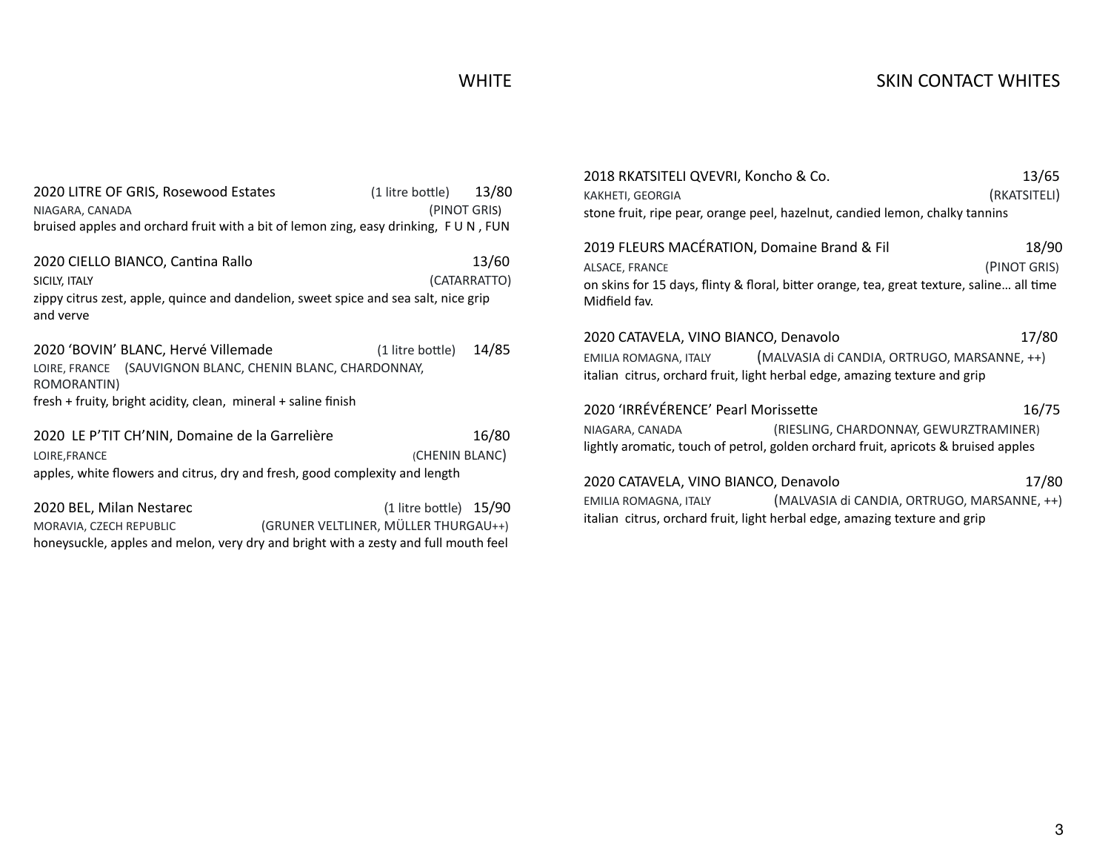### WHITE

| 2020 LITRE OF GRIS, Rosewood Estates                                                | (1 litre bottle) | 13/80        |
|-------------------------------------------------------------------------------------|------------------|--------------|
| NIAGARA, CANADA                                                                     |                  | (PINOT GRIS) |
| bruised apples and orchard fruit with a bit of lemon zing, easy drinking, FUN, FUN  |                  |              |
|                                                                                     |                  |              |
| 2020 CIELLO BIANCO, Cantina Rallo                                                   |                  | 13/60        |
| SICILY, ITALY                                                                       |                  | (CATARRATTO) |
| zippy citrus zest, apple, quince and dandelion, sweet spice and sea salt, nice grip |                  |              |
| and verve                                                                           |                  |              |

2020 'BOVIN' BLANC, Hervé Villemade (1 litre bottle) 14/85 LOIRE, FRANCE (SAUVIGNON BLANC, CHENIN BLANC, CHARDONNAY, ROMORANTIN) fresh + fruity, bright acidity, clean, mineral + saline finish

2020 LE P'TIT CH'NIN, Domaine de la Garrelière 16/80 LOIRE,FRANCE (CHENIN BLANC) apples, white flowers and citrus, dry and fresh, good complexity and length

2020 BEL, Milan Nestarec (1 litre bottle) 15/90 MORAVIA, CZECH REPUBLIC (GRUNER VELTLINER, MÜLLER THURGAU++) honeysuckle, apples and melon, very dry and bright with a zesty and full mouth feel

| 2018 RKATSITELI QVEVRI, Koncho & Co.                                         | 13/65        |  |
|------------------------------------------------------------------------------|--------------|--|
| KAKHETI, GEORGIA                                                             | (RKATSITELI) |  |
| stone fruit, ripe pear, orange peel, hazelnut, candied lemon, chalky tannins |              |  |

2019 FLEURS MACÉRATION, Domaine Brand & Fil 18/90 ALSACE, FRANCE (PINOT GRIS) on skins for 15 days, flinty & floral, bitter orange, tea, great texture, saline... all time Midfield fav.

2020 CATAVELA, VINO BIANCO, Denavolo 17/80 EMILIA ROMAGNA, ITALY (MALVASIA di CANDIA, ORTRUGO, MARSANNE, ++) italian citrus, orchard fruit, light herbal edge, amazing texture and grip

2020 'IRRÉVÉRENCE' Pearl Morissette 16/75 NIAGARA, CANADA (RIESLING, CHARDONNAY, GEWURZTRAMINER) lightly aromatic, touch of petrol, golden orchard fruit, apricots & bruised apples

2020 CATAVELA, VINO BIANCO, Denavolo 17/80 EMILIA ROMAGNA, ITALY (MALVASIA di CANDIA, ORTRUGO, MARSANNE, ++) italian citrus, orchard fruit, light herbal edge, amazing texture and grip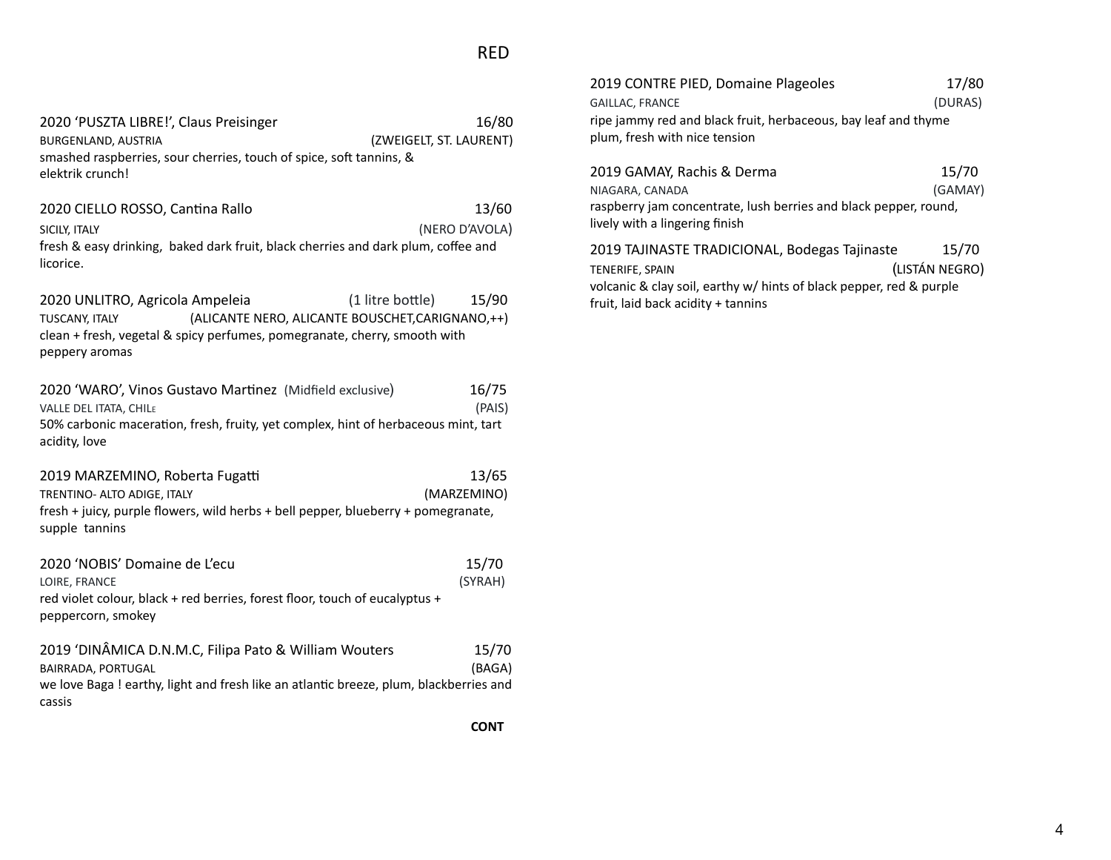2020 'PUSZTA LIBRE!', Claus Preisinger 16/80 BURGENLAND, AUSTRIA (ZWEIGELT, ST. LAURENT) smashed raspberries, sour cherries, touch of spice, soft tannins, & elektrik crunch!

2020 CIELLO ROSSO, Cantina Rallo 13/60 SICILY, ITALY (NERO D'AVOLA) fresh & easy drinking, baked dark fruit, black cherries and dark plum, coffee and licorice.

2020 UNLITRO, Agricola Ampeleia (1 litre bottle) 15/90 TUSCANY, ITALY (ALICANTE NERO, ALICANTE BOUSCHET,CARIGNANO,++) clean + fresh, vegetal & spicy perfumes, pomegranate, cherry, smooth with peppery aromas

2020 'WARO', Vinos Gustavo Martinez (Midfield exclusive) 16/75 VALLE DEL ITATA, CHIL<sup>E</sup> (PAIS) 50% carbonic maceration, fresh, fruity, yet complex, hint of herbaceous mint, tart acidity, love

2019 MARZEMINO, Roberta Fugatti 13/65 TRENTINO- ALTO ADIGE, ITALY (MARZEMINO) fresh + juicy, purple flowers, wild herbs + bell pepper, blueberry + pomegranate, supple tannins

| 2020 'NOBIS' Domaine de L'ecu                                               | 15/70   |
|-----------------------------------------------------------------------------|---------|
| LOIRE. FRANCE                                                               | (SYRAH) |
| red violet colour, black + red berries, forest floor, touch of eucalyptus + |         |
| peppercorn, smokey                                                          |         |
|                                                                             |         |

| 2019 'DINÂMICA D.N.M.C, Filipa Pato & William Wouters                                 | 15/70  |
|---------------------------------------------------------------------------------------|--------|
| BAIRRADA, PORTUGAL                                                                    | (BAGA) |
| we love Baga! earthy, light and fresh like an atlantic breeze, plum, blackberries and |        |
| cassis                                                                                |        |

| 2019 CONTRE PIED, Domaine Plageoles                                                             | 17/80   |
|-------------------------------------------------------------------------------------------------|---------|
| <b>GAILLAC, FRANCE</b>                                                                          | (DURAS) |
| ripe jammy red and black fruit, herbaceous, bay leaf and thyme<br>plum, fresh with nice tension |         |

| 2019 GAMAY, Rachis & Derma                                                                         | 15/70   |
|----------------------------------------------------------------------------------------------------|---------|
| NIAGARA, CANADA                                                                                    | (GAMAY) |
| raspberry jam concentrate, lush berries and black pepper, round,<br>lively with a lingering finish |         |
| 2019 TAJINASTE TRADICIONAL, Bodegas Tajinaste                                                      | 15/70   |

TENERIFE, SPAIN (LISTÁN NEGRO) volcanic & clay soil, earthy w/ hints of black pepper, red & purple fruit, laid back acidity + tannins